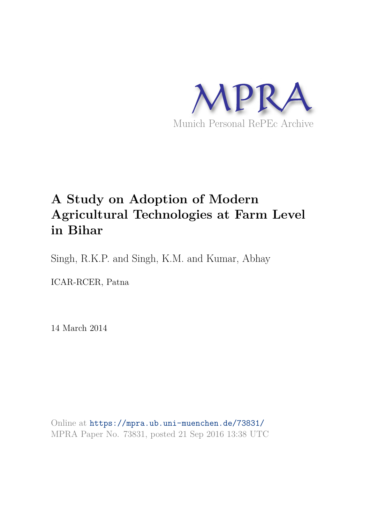

# **A Study on Adoption of Modern Agricultural Technologies at Farm Level in Bihar**

Singh, R.K.P. and Singh, K.M. and Kumar, Abhay

ICAR-RCER, Patna

14 March 2014

Online at https://mpra.ub.uni-muenchen.de/73831/ MPRA Paper No. 73831, posted 21 Sep 2016 13:38 UTC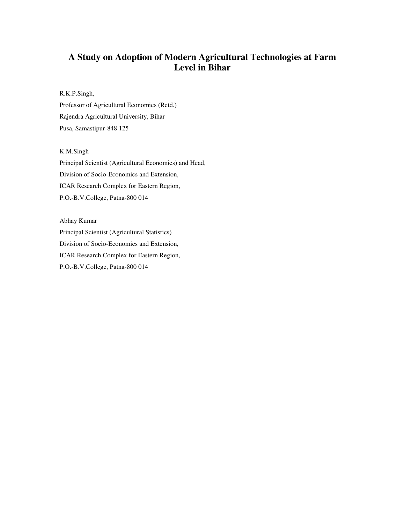# **A Study on Adoption of Modern Agricultural Technologies at Farm Level in Bihar**

R.K.P.Singh,

Professor of Agricultural Economics (Retd.) Rajendra Agricultural University, Bihar Pusa, Samastipur-848 125

K.M.Singh

Principal Scientist (Agricultural Economics) and Head, Division of Socio-Economics and Extension, ICAR Research Complex for Eastern Region, P.O.-B.V.College, Patna-800 014

Abhay Kumar Principal Scientist (Agricultural Statistics) Division of Socio-Economics and Extension, ICAR Research Complex for Eastern Region, P.O.-B.V.College, Patna-800 014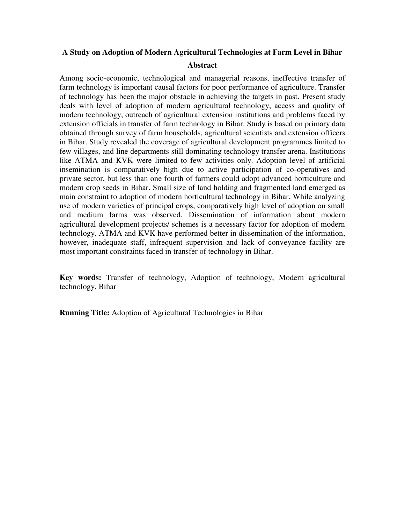# **A Study on Adoption of Modern Agricultural Technologies at Farm Level in Bihar**

#### **Abstract**

Among socio-economic, technological and managerial reasons, ineffective transfer of farm technology is important causal factors for poor performance of agriculture. Transfer of technology has been the major obstacle in achieving the targets in past. Present study deals with level of adoption of modern agricultural technology, access and quality of modern technology, outreach of agricultural extension institutions and problems faced by extension officials in transfer of farm technology in Bihar. Study is based on primary data obtained through survey of farm households, agricultural scientists and extension officers in Bihar. Study revealed the coverage of agricultural development programmes limited to few villages, and line departments still dominating technology transfer arena. Institutions like ATMA and KVK were limited to few activities only. Adoption level of artificial insemination is comparatively high due to active participation of co-operatives and private sector, but less than one fourth of farmers could adopt advanced horticulture and modern crop seeds in Bihar. Small size of land holding and fragmented land emerged as main constraint to adoption of modern horticultural technology in Bihar. While analyzing use of modern varieties of principal crops, comparatively high level of adoption on small and medium farms was observed. Dissemination of information about modern agricultural development projects/ schemes is a necessary factor for adoption of modern technology. ATMA and KVK have performed better in dissemination of the information, however, inadequate staff, infrequent supervision and lack of conveyance facility are most important constraints faced in transfer of technology in Bihar.

**Key words:** Transfer of technology, Adoption of technology, Modern agricultural technology, Bihar

**Running Title:** Adoption of Agricultural Technologies in Bihar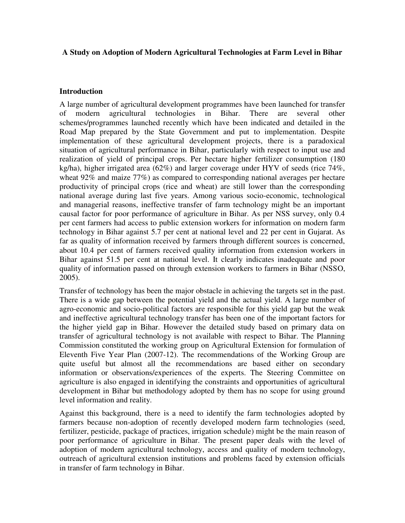#### **A Study on Adoption of Modern Agricultural Technologies at Farm Level in Bihar**

### **Introduction**

A large number of agricultural development programmes have been launched for transfer of modern agricultural technologies in Bihar. There are several other schemes/programmes launched recently which have been indicated and detailed in the Road Map prepared by the State Government and put to implementation. Despite implementation of these agricultural development projects, there is a paradoxical situation of agricultural performance in Bihar, particularly with respect to input use and realization of yield of principal crops. Per hectare higher fertilizer consumption (180 kg/ha), higher irrigated area (62%) and larger coverage under HYV of seeds (rice 74%, wheat 92% and maize 77%) as compared to corresponding national averages per hectare productivity of principal crops (rice and wheat) are still lower than the corresponding national average during last five years. Among various socio-economic, technological and managerial reasons, ineffective transfer of farm technology might be an important causal factor for poor performance of agriculture in Bihar. As per NSS survey, only 0.4 per cent farmers had access to public extension workers for information on modern farm technology in Bihar against 5.7 per cent at national level and 22 per cent in Gujarat. As far as quality of information received by farmers through different sources is concerned, about 10.4 per cent of farmers received quality information from extension workers in Bihar against 51.5 per cent at national level. It clearly indicates inadequate and poor quality of information passed on through extension workers to farmers in Bihar (NSSO, 2005).

Transfer of technology has been the major obstacle in achieving the targets set in the past. There is a wide gap between the potential yield and the actual yield. A large number of agro-economic and socio-political factors are responsible for this yield gap but the weak and ineffective agricultural technology transfer has been one of the important factors for the higher yield gap in Bihar. However the detailed study based on primary data on transfer of agricultural technology is not available with respect to Bihar. The Planning Commission constituted the working group on Agricultural Extension for formulation of Eleventh Five Year Plan (2007-12). The recommendations of the Working Group are quite useful but almost all the recommendations are based either on secondary information or observations/experiences of the experts. The Steering Committee on agriculture is also engaged in identifying the constraints and opportunities of agricultural development in Bihar but methodology adopted by them has no scope for using ground level information and reality.

Against this background, there is a need to identify the farm technologies adopted by farmers because non-adoption of recently developed modern farm technologies (seed, fertilizer, pesticide, package of practices, irrigation schedule) might be the main reason of poor performance of agriculture in Bihar. The present paper deals with the level of adoption of modern agricultural technology, access and quality of modern technology, outreach of agricultural extension institutions and problems faced by extension officials in transfer of farm technology in Bihar.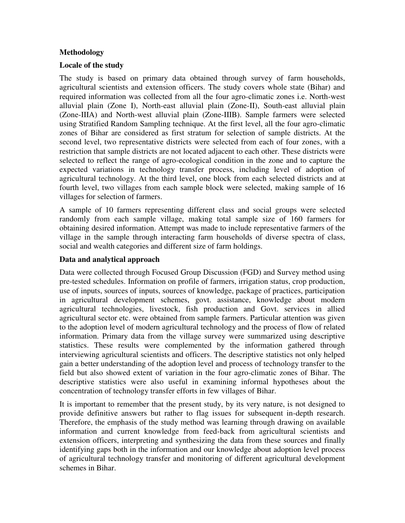## **Methodology**

#### **Locale of the study**

The study is based on primary data obtained through survey of farm households, agricultural scientists and extension officers. The study covers whole state (Bihar) and required information was collected from all the four agro-climatic zones i.e. North-west alluvial plain (Zone I), North-east alluvial plain (Zone-II), South-east alluvial plain (Zone-IIIA) and North-west alluvial plain (Zone-IIIB). Sample farmers were selected using Stratified Random Sampling technique. At the first level, all the four agro-climatic zones of Bihar are considered as first stratum for selection of sample districts. At the second level, two representative districts were selected from each of four zones, with a restriction that sample districts are not located adjacent to each other. These districts were selected to reflect the range of agro-ecological condition in the zone and to capture the expected variations in technology transfer process, including level of adoption of agricultural technology. At the third level, one block from each selected districts and at fourth level, two villages from each sample block were selected, making sample of 16 villages for selection of farmers.

A sample of 10 farmers representing different class and social groups were selected randomly from each sample village, making total sample size of 160 farmers for obtaining desired information. Attempt was made to include representative farmers of the village in the sample through interacting farm households of diverse spectra of class, social and wealth categories and different size of farm holdings.

#### **Data and analytical approach**

Data were collected through Focused Group Discussion (FGD) and Survey method using pre-tested schedules. Information on profile of farmers, irrigation status, crop production, use of inputs, sources of inputs, sources of knowledge, package of practices, participation in agricultural development schemes, govt. assistance, knowledge about modern agricultural technologies, livestock, fish production and Govt. services in allied agricultural sector etc. were obtained from sample farmers. Particular attention was given to the adoption level of modern agricultural technology and the process of flow of related information. Primary data from the village survey were summarized using descriptive statistics. These results were complemented by the information gathered through interviewing agricultural scientists and officers. The descriptive statistics not only helped gain a better understanding of the adoption level and process of technology transfer to the field but also showed extent of variation in the four agro-climatic zones of Bihar. The descriptive statistics were also useful in examining informal hypotheses about the concentration of technology transfer efforts in few villages of Bihar.

It is important to remember that the present study, by its very nature, is not designed to provide definitive answers but rather to flag issues for subsequent in-depth research. Therefore, the emphasis of the study method was learning through drawing on available information and current knowledge from feed-back from agricultural scientists and extension officers, interpreting and synthesizing the data from these sources and finally identifying gaps both in the information and our knowledge about adoption level process of agricultural technology transfer and monitoring of different agricultural development schemes in Bihar.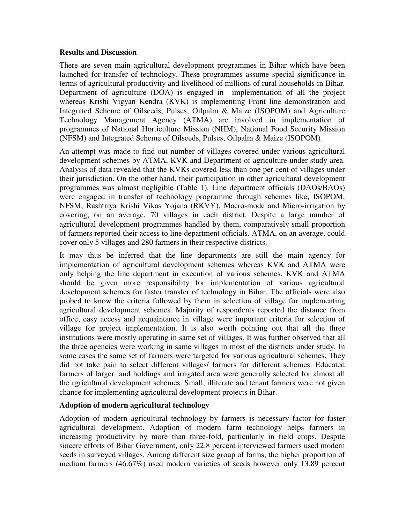#### **Results and Discussion**

There are seven main agricultural development programmes in Bihar which have been launched for transfer of technology. These programmes assume special significance in terms of agricultural productivity and livelihood of millions of rural households in Bihar. Department of agriculture (DOA) is engaged in implementation of all the project whereas Krishi Vigyan Kendra (KVK) is implementing Front line demonstration and Integrated Scheme of Oilseeds, Pulses, Oilpalm & Maize (ISOPOM) and Agriculture Technology Management Agency (ATMA) are involved in implementation of programmes of National Horticulture Mission (NHM), National Food Security Mission (NFSM) and Integrated Scheme of Oilseeds, Pulses, Oilpalm & Maize (ISOPOM)*.*

An attempt was made to find out number of villages covered under various agricultural development schemes by ATMA, KVK and Department of agriculture under study area. Analysis of data revealed that the KVKs covered less than one per cent of villages under their jurisdiction. On the other hand, their participation in other agricultural development programmes was almost negligible (Table 1). Line department officials (DAOs/BAOs) were engaged in transfer of technology programme through schemes like, ISOPOM, NFSM, Rashtriya Krishi Vikas Yojana (RKVY), Macro-mode and Micro-irrigation by covering, on an average, 70 villages in each district. Despite a large number of agricultural development programmes handled by them, comparatively small proportion of farmers reported their access to line department officials. ATMA, on an average, could cover only 5 villages and 280 farmers in their respective districts.

It may thus be inferred that the line departments are still the main agency for implementation of agricultural development schemes whereas KVK and ATMA were only helping the line department in execution of various schemes. KVK and ATMA should be given more responsibility for implementation of various agricultural development schemes for faster transfer of technology in Bihar. The officials were also probed to know the criteria followed by them in selection of village for implementing agricultural development schemes. Majority of respondents reported the distance from office; easy access and acquaintance in village were important criteria for selection of village for project implementation. It is also worth pointing out that all the three institutions were mostly operating in same set of villages. It was further observed that all the three agencies were working in same villages in most of the districts under study. In some cases the same set of farmers were targeted for various agricultural schemes. They did not take pain to select different villages/ farmers for different schemes. Educated farmers of larger land holdings and irrigated area were generally selected for almost all the agricultural development schemes. Small, illiterate and tenant farmers were not given chance for implementing agricultural development projects in Bihar.

#### **Adoption of modern agricultural technology**

Adoption of modern agricultural technology by farmers is necessary factor for faster agricultural development. Adoption of modern farm technology helps farmers in increasing productivity by more than three-fold, particularly in field crops. Despite sincere efforts of Bihar Government, only 22.8 percent interviewed farmers used modern seeds in surveyed villages. Among different size group of farms, the higher proportion of medium farmers (46.67%) used modern varieties of seeds however only 13.89 percent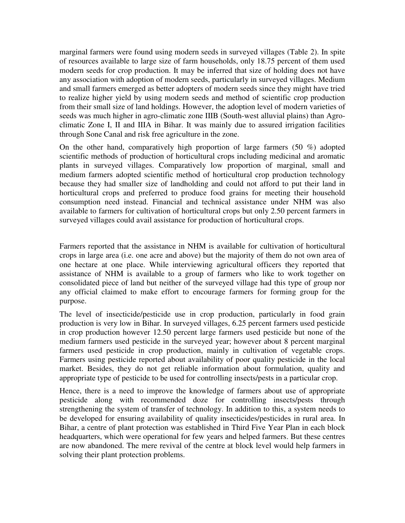marginal farmers were found using modern seeds in surveyed villages (Table 2). In spite of resources available to large size of farm households, only 18.75 percent of them used modern seeds for crop production. It may be inferred that size of holding does not have any association with adoption of modern seeds, particularly in surveyed villages. Medium and small farmers emerged as better adopters of modern seeds since they might have tried to realize higher yield by using modern seeds and method of scientific crop production from their small size of land holdings. However, the adoption level of modern varieties of seeds was much higher in agro-climatic zone IIIB (South-west alluvial plains) than Agroclimatic Zone I, II and IIIA in Bihar. It was mainly due to assured irrigation facilities through Sone Canal and risk free agriculture in the zone.

On the other hand, comparatively high proportion of large farmers  $(50 \%)$  adopted scientific methods of production of horticultural crops including medicinal and aromatic plants in surveyed villages. Comparatively low proportion of marginal, small and medium farmers adopted scientific method of horticultural crop production technology because they had smaller size of landholding and could not afford to put their land in horticultural crops and preferred to produce food grains for meeting their household consumption need instead. Financial and technical assistance under NHM was also available to farmers for cultivation of horticultural crops but only 2.50 percent farmers in surveyed villages could avail assistance for production of horticultural crops.

Farmers reported that the assistance in NHM is available for cultivation of horticultural crops in large area (i.e. one acre and above) but the majority of them do not own area of one hectare at one place. While interviewing agricultural officers they reported that assistance of NHM is available to a group of farmers who like to work together on consolidated piece of land but neither of the surveyed village had this type of group nor any official claimed to make effort to encourage farmers for forming group for the purpose.

The level of insecticide/pesticide use in crop production, particularly in food grain production is very low in Bihar. In surveyed villages, 6.25 percent farmers used pesticide in crop production however 12.50 percent large farmers used pesticide but none of the medium farmers used pesticide in the surveyed year; however about 8 percent marginal farmers used pesticide in crop production, mainly in cultivation of vegetable crops. Farmers using pesticide reported about availability of poor quality pesticide in the local market. Besides, they do not get reliable information about formulation, quality and appropriate type of pesticide to be used for controlling insects/pests in a particular crop.

Hence, there is a need to improve the knowledge of farmers about use of appropriate pesticide along with recommended doze for controlling insects/pests through strengthening the system of transfer of technology. In addition to this, a system needs to be developed for ensuring availability of quality insecticides/pesticides in rural area. In Bihar, a centre of plant protection was established in Third Five Year Plan in each block headquarters, which were operational for few years and helped farmers. But these centres are now abandoned. The mere revival of the centre at block level would help farmers in solving their plant protection problems.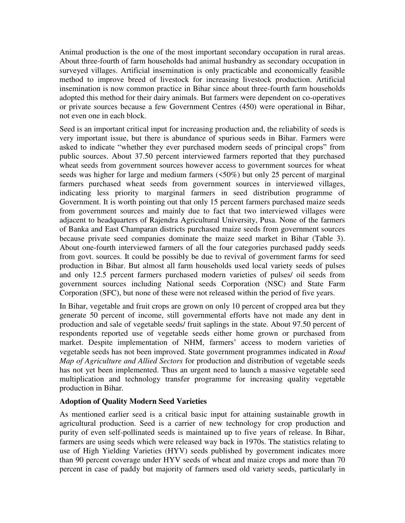Animal production is the one of the most important secondary occupation in rural areas. About three-fourth of farm households had animal husbandry as secondary occupation in surveyed villages. Artificial insemination is only practicable and economically feasible method to improve breed of livestock for increasing livestock production. Artificial insemination is now common practice in Bihar since about three-fourth farm households adopted this method for their dairy animals. But farmers were dependent on co-operatives or private sources because a few Government Centres (450) were operational in Bihar, not even one in each block.

Seed is an important critical input for increasing production and, the reliability of seeds is very important issue, but there is abundance of spurious seeds in Bihar. Farmers were asked to indicate "whether they ever purchased modern seeds of principal crops" from public sources. About 37.50 percent interviewed farmers reported that they purchased wheat seeds from government sources however access to government sources for wheat seeds was higher for large and medium farmers (<50%) but only 25 percent of marginal farmers purchased wheat seeds from government sources in interviewed villages, indicating less priority to marginal farmers in seed distribution programme of Government. It is worth pointing out that only 15 percent farmers purchased maize seeds from government sources and mainly due to fact that two interviewed villages were adjacent to headquarters of Rajendra Agricultural University, Pusa. None of the farmers of Banka and East Champaran districts purchased maize seeds from government sources because private seed companies dominate the maize seed market in Bihar (Table 3). About one-fourth interviewed farmers of all the four categories purchased paddy seeds from govt. sources. It could be possibly be due to revival of government farms for seed production in Bihar. But almost all farm households used local variety seeds of pulses and only 12.5 percent farmers purchased modern varieties of pulses/ oil seeds from government sources including National seeds Corporation (NSC) and State Farm Corporation (SFC), but none of these were not released within the period of five years.

In Bihar, vegetable and fruit crops are grown on only 10 percent of cropped area but they generate 50 percent of income, still governmental efforts have not made any dent in production and sale of vegetable seeds/ fruit saplings in the state. About 97.50 percent of respondents reported use of vegetable seeds either home grown or purchased from market. Despite implementation of NHM, farmers' access to modern varieties of vegetable seeds has not been improved. State government programmes indicated in *Road Map of Agriculture and Allied Sectors* for production and distribution of vegetable seeds has not yet been implemented. Thus an urgent need to launch a massive vegetable seed multiplication and technology transfer programme for increasing quality vegetable production in Bihar.

#### **Adoption of Quality Modern Seed Varieties**

As mentioned earlier seed is a critical basic input for attaining sustainable growth in agricultural production. Seed is a carrier of new technology for crop production and purity of even self-pollinated seeds is maintained up to five years of release. In Bihar, farmers are using seeds which were released way back in 1970s. The statistics relating to use of High Yielding Varieties (HYV) seeds published by government indicates more than 90 percent coverage under HYV seeds of wheat and maize crops and more than 70 percent in case of paddy but majority of farmers used old variety seeds, particularly in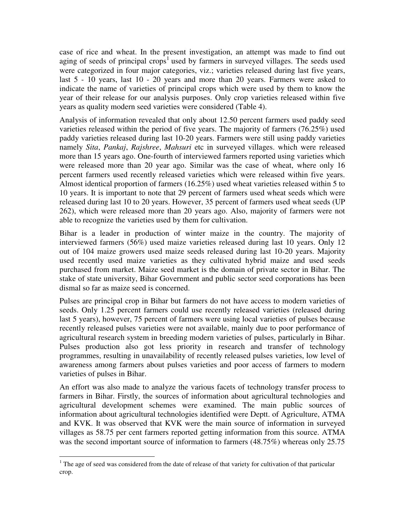case of rice and wheat. In the present investigation, an attempt was made to find out aging of seeds of principal crops<sup>1</sup> used by farmers in surveyed villages. The seeds used were categorized in four major categories, viz.; varieties released during last five years, last 5 - 10 years, last 10 - 20 years and more than 20 years. Farmers were asked to indicate the name of varieties of principal crops which were used by them to know the year of their release for our analysis purposes. Only crop varieties released within five years as quality modern seed varieties were considered (Table 4).

Analysis of information revealed that only about 12.50 percent farmers used paddy seed varieties released within the period of five years. The majority of farmers (76.25%) used paddy varieties released during last 10-20 years. Farmers were still using paddy varieties namely *Sita*, *Pankaj*, *Rajshree*, *Mahsuri* etc in surveyed villages. which were released more than 15 years ago. One-fourth of interviewed farmers reported using varieties which were released more than 20 year ago. Similar was the case of wheat, where only 16 percent farmers used recently released varieties which were released within five years. Almost identical proportion of farmers (16.25%) used wheat varieties released within 5 to 10 years. It is important to note that 29 percent of farmers used wheat seeds which were released during last 10 to 20 years. However, 35 percent of farmers used wheat seeds (UP 262), which were released more than 20 years ago. Also, majority of farmers were not able to recognize the varieties used by them for cultivation.

Bihar is a leader in production of winter maize in the country. The majority of interviewed farmers (56%) used maize varieties released during last 10 years. Only 12 out of 104 maize growers used maize seeds released during last 10-20 years. Majority used recently used maize varieties as they cultivated hybrid maize and used seeds purchased from market. Maize seed market is the domain of private sector in Bihar. The stake of state university, Bihar Government and public sector seed corporations has been dismal so far as maize seed is concerned.

Pulses are principal crop in Bihar but farmers do not have access to modern varieties of seeds. Only 1.25 percent farmers could use recently released varieties (released during last 5 years), however, 75 percent of farmers were using local varieties of pulses because recently released pulses varieties were not available, mainly due to poor performance of agricultural research system in breeding modern varieties of pulses, particularly in Bihar. Pulses production also got less priority in research and transfer of technology programmes, resulting in unavailability of recently released pulses varieties, low level of awareness among farmers about pulses varieties and poor access of farmers to modern varieties of pulses in Bihar.

An effort was also made to analyze the various facets of technology transfer process to farmers in Bihar. Firstly, the sources of information about agricultural technologies and agricultural development schemes were examined. The main public sources of information about agricultural technologies identified were Deptt. of Agriculture, ATMA and KVK. It was observed that KVK were the main source of information in surveyed villages as 58.75 per cent farmers reported getting information from this source. ATMA was the second important source of information to farmers  $(48.75%)$  whereas only 25.75

<sup>&</sup>lt;sup>1</sup> The age of seed was considered from the date of release of that variety for cultivation of that particular crop.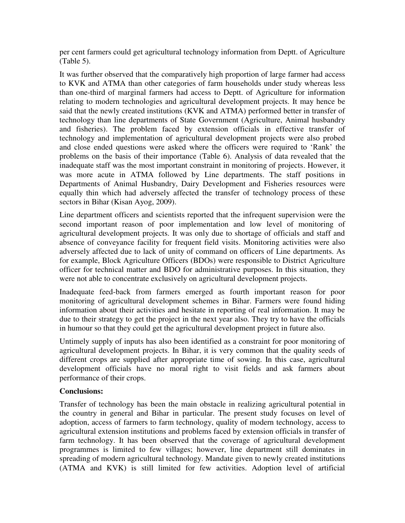per cent farmers could get agricultural technology information from Deptt. of Agriculture (Table 5).

It was further observed that the comparatively high proportion of large farmer had access to KVK and ATMA than other categories of farm households under study whereas less than one-third of marginal farmers had access to Deptt. of Agriculture for information relating to modern technologies and agricultural development projects. It may hence be said that the newly created institutions (KVK and ATMA) performed better in transfer of technology than line departments of State Government (Agriculture, Animal husbandry and fisheries). The problem faced by extension officials in effective transfer of technology and implementation of agricultural development projects were also probed and close ended questions were asked where the officers were required to 'Rank' the problems on the basis of their importance (Table 6). Analysis of data revealed that the inadequate staff was the most important constraint in monitoring of projects. However, it was more acute in ATMA followed by Line departments. The staff positions in Departments of Animal Husbandry, Dairy Development and Fisheries resources were equally thin which had adversely affected the transfer of technology process of these sectors in Bihar (Kisan Ayog, 2009).

Line department officers and scientists reported that the infrequent supervision were the second important reason of poor implementation and low level of monitoring of agricultural development projects. It was only due to shortage of officials and staff and absence of conveyance facility for frequent field visits. Monitoring activities were also adversely affected due to lack of unity of command on officers of Line departments. As for example, Block Agriculture Officers (BDOs) were responsible to District Agriculture officer for technical matter and BDO for administrative purposes. In this situation, they were not able to concentrate exclusively on agricultural development projects.

Inadequate feed-back from farmers emerged as fourth important reason for poor monitoring of agricultural development schemes in Bihar. Farmers were found hiding information about their activities and hesitate in reporting of real information. It may be due to their strategy to get the project in the next year also. They try to have the officials in humour so that they could get the agricultural development project in future also.

Untimely supply of inputs has also been identified as a constraint for poor monitoring of agricultural development projects. In Bihar, it is very common that the quality seeds of different crops are supplied after appropriate time of sowing. In this case, agricultural development officials have no moral right to visit fields and ask farmers about performance of their crops.

# **Conclusions:**

Transfer of technology has been the main obstacle in realizing agricultural potential in the country in general and Bihar in particular. The present study focuses on level of adoption, access of farmers to farm technology, quality of modern technology, access to agricultural extension institutions and problems faced by extension officials in transfer of farm technology. It has been observed that the coverage of agricultural development programmes is limited to few villages; however, line department still dominates in spreading of modern agricultural technology. Mandate given to newly created institutions (ATMA and KVK) is still limited for few activities. Adoption level of artificial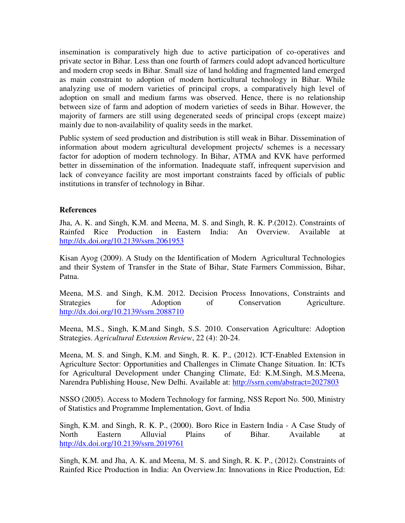insemination is comparatively high due to active participation of co-operatives and private sector in Bihar. Less than one fourth of farmers could adopt advanced horticulture and modern crop seeds in Bihar. Small size of land holding and fragmented land emerged as main constraint to adoption of modern horticultural technology in Bihar. While analyzing use of modern varieties of principal crops, a comparatively high level of adoption on small and medium farms was observed. Hence, there is no relationship between size of farm and adoption of modern varieties of seeds in Bihar. However, the majority of farmers are still using degenerated seeds of principal crops (except maize) mainly due to non-availability of quality seeds in the market.

Public system of seed production and distribution is still weak in Bihar. Dissemination of information about modern agricultural development projects/ schemes is a necessary factor for adoption of modern technology. In Bihar, ATMA and KVK have performed better in dissemination of the information. Inadequate staff, infrequent supervision and lack of conveyance facility are most important constraints faced by officials of public institutions in transfer of technology in Bihar.

#### **References**

Jha, A. K. and Singh, K.M. and Meena, M. S. and Singh, R. K. P.(2012). Constraints of Rainfed Rice Production in Eastern India: An Overview. Available at <http://dx.doi.org/10.2139/ssrn.2061953>

Kisan Ayog (2009). A Study on the Identification of Modern Agricultural Technologies and their System of Transfer in the State of Bihar, State Farmers Commission, Bihar, Patna.

Meena, M.S. and Singh, K.M. 2012. Decision Process Innovations, Constraints and Strategies for Adoption of Conservation Agriculture. <http://dx.doi.org/10.2139/ssrn.2088710>

Meena, M.S., Singh, K.M.and Singh, S.S. 2010. Conservation Agriculture: Adoption Strategies. *Agricultural Extension Review*, 22 (4): 20-24.

Meena, M. S. and Singh, K.M. and Singh, R. K. P., (2012). ICT-Enabled Extension in Agriculture Sector: Opportunities and Challenges in Climate Change Situation. In: ICTs for Agricultural Development under Changing Climate, Ed: K.M.Singh, M.S.Meena, Narendra Publishing House, New Delhi. Available at: http://ssrn.com/abstract=2027803

NSSO (2005). Access to Modern Technology for farming, NSS Report No. 500, Ministry of Statistics and Programme Implementation, Govt. of India

Singh, K.M. and Singh, R. K. P., (2000). Boro Rice in Eastern India - A Case Study of North Eastern Alluvial Plains of Bihar. Available at <http://dx.doi.org/10.2139/ssrn.2019761>

Singh, K.M. and Jha, A. K. and Meena, M. S. and Singh, R. K. P., (2012). Constraints of Rainfed Rice Production in India: An Overview.In: Innovations in Rice Production, Ed: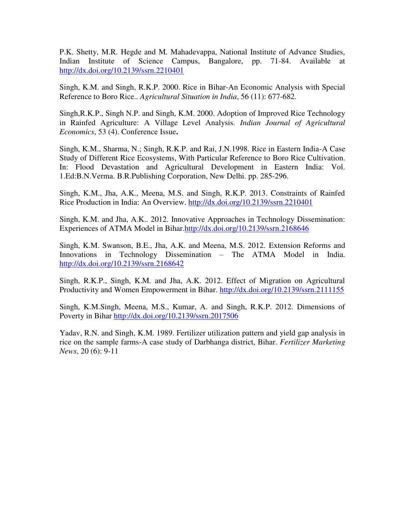P.K. Shetty, M.R. Hegde and M. Mahadevappa, National Institute of Advance Studies, Indian Institute of Science Campus, Bangalore, pp. 71-84. Available at <http://dx.doi.org/10.2139/ssrn.2210401>

Singh, K.M. and Singh, R.K.P. 2000. Rice in Bihar-An Economic Analysis with Special Reference to Boro Rice.. *Agricultural Situation in India*, 56 (11): 677-682.

Singh,R.K.P., Singh N.P. and Singh, K.M. 2000. Adoption of Improved Rice Technology in Rainfed Agriculture: A Village Level Analysis. *Indian Journal of Agricultural Economics*, 53 (4). Conference Issue**.** 

Singh, K.M., Sharma, N.; Singh, R.K.P. and Rai, J.N.1998. Rice in Eastern India-A Case Study of Different Rice Ecosystems, With Particular Reference to Boro Rice Cultivation. In: Flood Devastation and Agricultural Development in Eastern India: Vol. 1.Ed:B.N.Verma. B.R.Publishing Corporation, New Delhi. pp. 285-296.

Singh, K.M., Jha, A.K., Meena, M.S. and Singh, R.K.P. 2013. Constraints of Rainfed Rice Production in India: An Overview.<http://dx.doi.org/10.2139/ssrn.2210401>

Singh, K.M. and Jha, A.K.. 2012. Innovative Approaches in Technology Dissemination: Experiences of ATMA Model in Bihar[.http://dx.doi.org/10.2139/ssrn.2168646](http://dx.doi.org/10.2139/ssrn.2168646) 

Singh, K.M. Swanson, B.E., Jha, A.K. and Meena, M.S. 2012. Extension Reforms and Innovations in Technology Dissemination – The ATMA Model in India. <http://dx.doi.org/10.2139/ssrn.2168642>

Singh, R.K.P., Singh, K.M. and Jha, A.K. 2012. Effect of Migration on Agricultural Productivity and Women Empowerment in Bihar.<http://dx.doi.org/10.2139/ssrn.2111155>

Singh, K.M.Singh, Meena, M.S., Kumar, A. and Singh, R.K.P. 2012. Dimensions of Poverty in Bihar<http://dx.doi.org/10.2139/ssrn.2017506>

Yadav, R.N. and Singh, K.M. 1989. Fertilizer utilization pattern and yield gap analysis in rice on the sample farms-A case study of Darbhanga district, Bihar. *Fertilizer Marketing News*, 20 (6): 9-11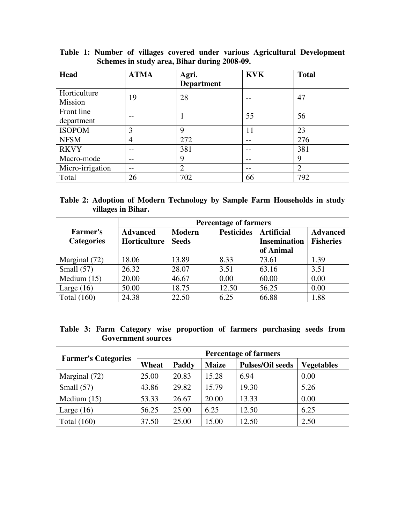| <b>Head</b>      | <b>ATMA</b> | Agri.             | <b>KVK</b> | <b>Total</b> |
|------------------|-------------|-------------------|------------|--------------|
|                  |             | <b>Department</b> |            |              |
| Horticulture     | 19          | 28                |            | 47           |
| Mission          |             |                   |            |              |
| Front line       |             | 1                 | 55         | 56           |
| department       |             |                   |            |              |
| <b>ISOPOM</b>    | 3           | 9                 | 11         | 23           |
| <b>NFSM</b>      | 4           | 272               |            | 276          |
| <b>RKVY</b>      |             | 381               |            | 381          |
| Macro-mode       |             | 9                 |            | 9            |
| Micro-irrigation |             | $\overline{2}$    |            | 2            |
| Total            | 26          | 702               | 66         | 792          |

**Table 1: Number of villages covered under various Agricultural Development Schemes in study area, Bihar during 2008-09.** 

|                    |  |  | Table 2: Adoption of Modern Technology by Sample Farm Households in study |  |
|--------------------|--|--|---------------------------------------------------------------------------|--|
| villages in Bihar. |  |  |                                                                           |  |

|                   | <b>Percentage of farmers</b> |               |                   |                     |                  |  |  |  |
|-------------------|------------------------------|---------------|-------------------|---------------------|------------------|--|--|--|
| <b>Farmer's</b>   | <b>Advanced</b>              | <b>Modern</b> | <b>Pesticides</b> | <b>Artificial</b>   | <b>Advanced</b>  |  |  |  |
| <b>Categories</b> | Horticulture<br><b>Seeds</b> |               |                   | <b>Insemination</b> | <b>Fisheries</b> |  |  |  |
|                   |                              |               |                   | of Animal           |                  |  |  |  |
| Marginal (72)     | 18.06                        | 13.89         | 8.33              | 73.61               | 1.39             |  |  |  |
| Small $(57)$      | 26.32                        | 28.07         | 3.51              | 63.16               | 3.51             |  |  |  |
| Medium $(15)$     | 20.00                        | 46.67         | 0.00              | 60.00               | 0.00             |  |  |  |
| Large $(16)$      | 50.00                        | 18.75         | 12.50             | 56.25               | 0.00             |  |  |  |
| Total $(160)$     | 24.38                        | 22.50         | 6.25              | 66.88               | 1.88             |  |  |  |

|                           |  |  |  |  |  | Table 3: Farm Category wise proportion of farmers purchasing seeds from |  |
|---------------------------|--|--|--|--|--|-------------------------------------------------------------------------|--|
| <b>Government sources</b> |  |  |  |  |  |                                                                         |  |

| <b>Farmer's Categories</b> | <b>Percentage of farmers</b> |       |              |                         |                   |  |  |  |
|----------------------------|------------------------------|-------|--------------|-------------------------|-------------------|--|--|--|
|                            | Wheat                        | Paddy | <b>Maize</b> | <b>Pulses/Oil seeds</b> | <b>Vegetables</b> |  |  |  |
| Marginal (72)              | 25.00                        | 20.83 | 15.28        | 6.94                    | 0.00              |  |  |  |
| Small $(57)$               | 43.86                        | 29.82 | 15.79        | 19.30                   | 5.26              |  |  |  |
| Medium $(15)$              | 53.33                        | 26.67 | 20.00        | 13.33                   | 0.00              |  |  |  |
| Large $(16)$               | 56.25                        | 25.00 | 6.25         | 12.50                   | 6.25              |  |  |  |
| Total $(160)$              | 37.50                        | 25.00 | 15.00        | 12.50                   | 2.50              |  |  |  |